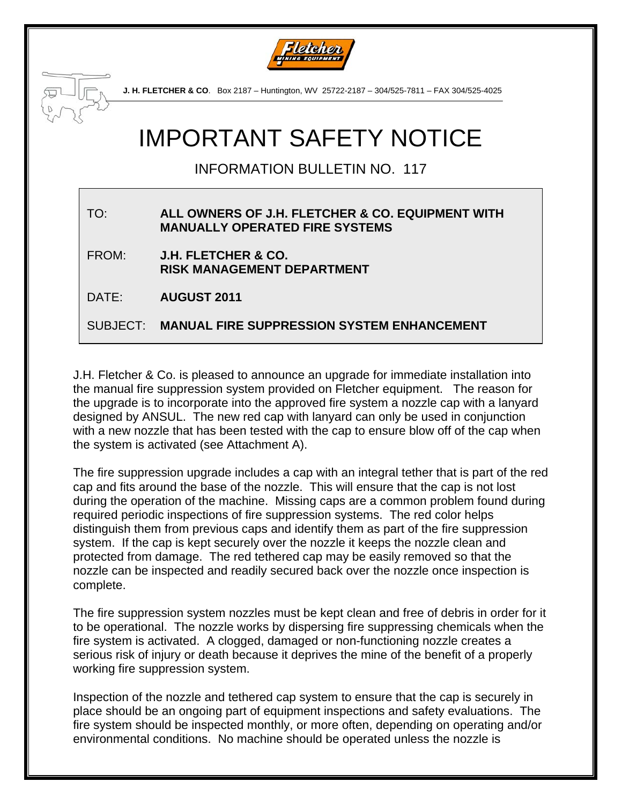



**J. H. FLETCHER & CO**. Box 2187 – Huntington, WV 25722-2187 – 304/525-7811 – FAX 304/525-4025

# IMPORTANT SAFETY NOTICE

INFORMATION BULLETIN NO. 117

#### TO: **ALL OWNERS OF J.H. FLETCHER & CO. EQUIPMENT WITH MANUALLY OPERATED FIRE SYSTEMS**

FROM: **J.H. FLETCHER & CO. RISK MANAGEMENT DEPARTMENT** 

DATE: **AUGUST 2011**

SUBJECT: **MANUAL FIRE SUPPRESSION SYSTEM ENHANCEMENT** 

J.H. Fletcher & Co. is pleased to announce an upgrade for immediate installation into the manual fire suppression system provided on Fletcher equipment. The reason for the upgrade is to incorporate into the approved fire system a nozzle cap with a lanyard designed by ANSUL. The new red cap with lanyard can only be used in conjunction with a new nozzle that has been tested with the cap to ensure blow off of the cap when the system is activated (see Attachment A).

The fire suppression upgrade includes a cap with an integral tether that is part of the red cap and fits around the base of the nozzle. This will ensure that the cap is not lost during the operation of the machine. Missing caps are a common problem found during required periodic inspections of fire suppression systems. The red color helps distinguish them from previous caps and identify them as part of the fire suppression system. If the cap is kept securely over the nozzle it keeps the nozzle clean and protected from damage. The red tethered cap may be easily removed so that the nozzle can be inspected and readily secured back over the nozzle once inspection is complete.

The fire suppression system nozzles must be kept clean and free of debris in order for it to be operational. The nozzle works by dispersing fire suppressing chemicals when the fire system is activated. A clogged, damaged or non-functioning nozzle creates a serious risk of injury or death because it deprives the mine of the benefit of a properly working fire suppression system.

Inspection of the nozzle and tethered cap system to ensure that the cap is securely in place should be an ongoing part of equipment inspections and safety evaluations. The fire system should be inspected monthly, or more often, depending on operating and/or environmental conditions. No machine should be operated unless the nozzle is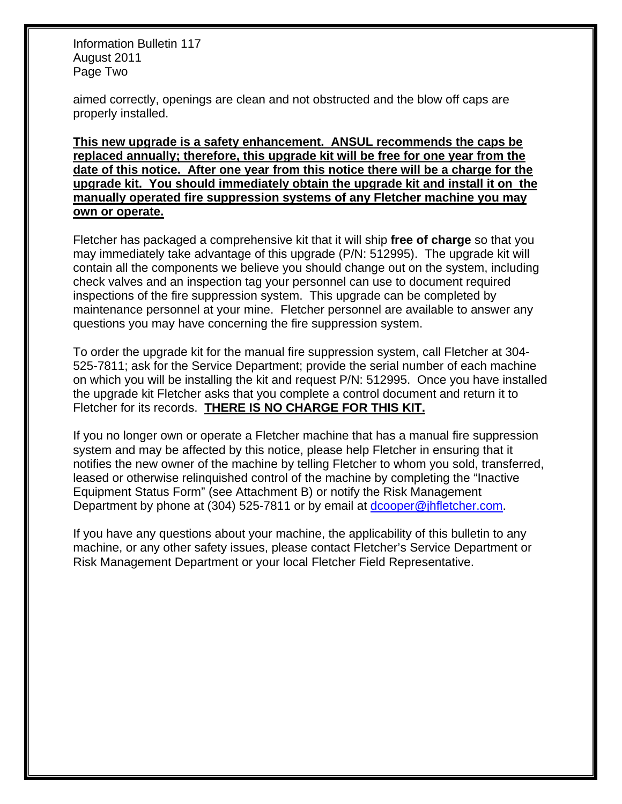Information Bulletin 117 August 2011 Page Two

aimed correctly, openings are clean and not obstructed and the blow off caps are properly installed.

**This new upgrade is a safety enhancement. ANSUL recommends the caps be replaced annually; therefore, this upgrade kit will be free for one year from the date of this notice. After one year from this notice there will be a charge for the upgrade kit. You should immediately obtain the upgrade kit and install it on the manually operated fire suppression systems of any Fletcher machine you may own or operate.** 

Fletcher has packaged a comprehensive kit that it will ship **free of charge** so that you may immediately take advantage of this upgrade (P/N: 512995). The upgrade kit will contain all the components we believe you should change out on the system, including check valves and an inspection tag your personnel can use to document required inspections of the fire suppression system. This upgrade can be completed by maintenance personnel at your mine. Fletcher personnel are available to answer any questions you may have concerning the fire suppression system.

To order the upgrade kit for the manual fire suppression system, call Fletcher at 304- 525-7811; ask for the Service Department; provide the serial number of each machine on which you will be installing the kit and request P/N: 512995. Once you have installed the upgrade kit Fletcher asks that you complete a control document and return it to Fletcher for its records. **THERE IS NO CHARGE FOR THIS KIT.**

If you no longer own or operate a Fletcher machine that has a manual fire suppression system and may be affected by this notice, please help Fletcher in ensuring that it notifies the new owner of the machine by telling Fletcher to whom you sold, transferred, leased or otherwise relinquished control of the machine by completing the "Inactive Equipment Status Form" (see Attachment B) or notify the Risk Management Department by phone at (304) 525-7811 or by email at [dcooper@jhfletcher.com](mailto:dcooper@jhfletcher.com).

If you have any questions about your machine, the applicability of this bulletin to any machine, or any other safety issues, please contact Fletcher's Service Department or Risk Management Department or your local Fletcher Field Representative.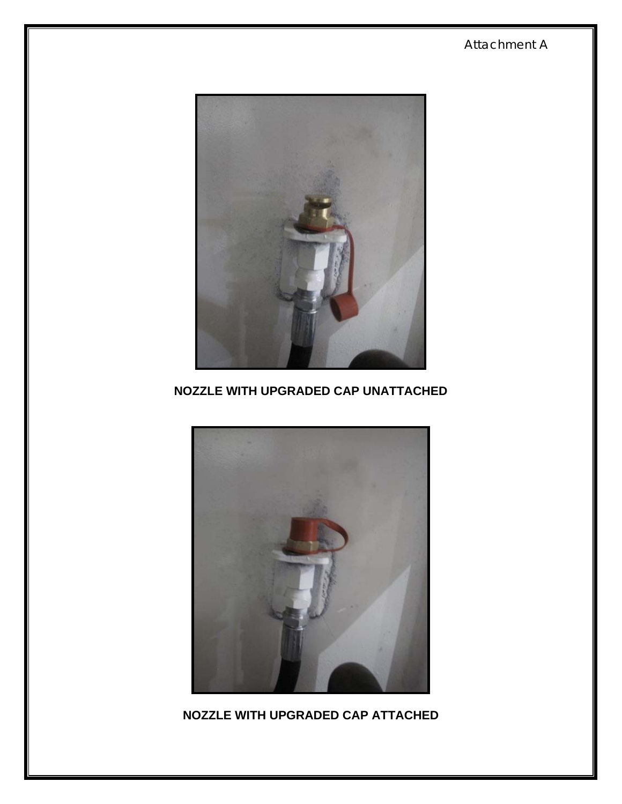## **NOZZLE WITH UPGRADED CAP ATTACHED**



## **NOZZLE WITH UPGRADED CAP UNATTACHED**



Attachment A